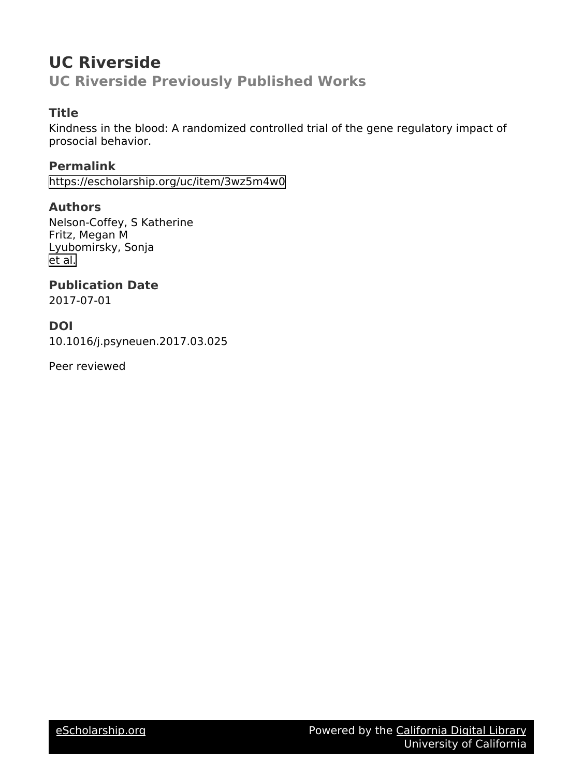# **UC Riverside UC Riverside Previously Published Works**

## **Title**

Kindness in the blood: A randomized controlled trial of the gene regulatory impact of prosocial behavior.

**Permalink** <https://escholarship.org/uc/item/3wz5m4w0>

## **Authors**

Nelson-Coffey, S Katherine Fritz, Megan M Lyubomirsky, Sonja [et al.](https://escholarship.org/uc/item/3wz5m4w0#author)

**Publication Date**

2017-07-01

## **DOI**

10.1016/j.psyneuen.2017.03.025

Peer reviewed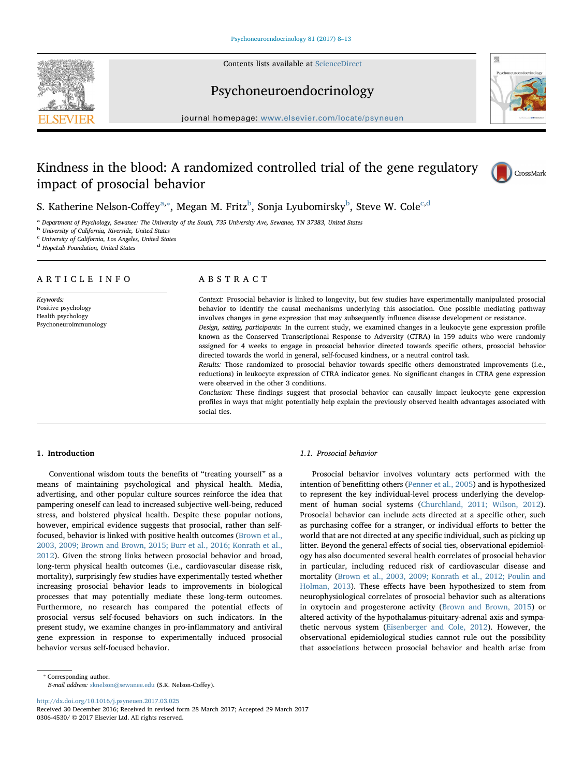Contents lists available at [ScienceDirect](http://www.sciencedirect.com/science/journal/03064530)





Psychoneuroendocrinology

journal homepage: [www.elsevier.com/locate/psyneuen](http://www.elsevier.com/locate/psyneuen)

## Kindness in the blood: A randomized controlled trial of the gene regulatory impact of prosocial behavior



S. Katherine Nelson-Coffey $^{\rm a, *},$  $^{\rm a, *},$  $^{\rm a, *},$  Megan M. Fritz $^{\rm b}$  $^{\rm b}$  $^{\rm b}$ , Sonja Lyubomirsky $^{\rm b}$ , Steve W. Cole $^{\rm c, d}$  $^{\rm c, d}$  $^{\rm c, d}$  $^{\rm c, d}$  $^{\rm c, d}$ 

<span id="page-1-0"></span><sup>a</sup> Department of Psychology, Sewanee: The University of the South, 735 University Ave, Sewanee, TN 37383, United States

<span id="page-1-2"></span><sup>b</sup> University of California, Riverside, United States

<span id="page-1-3"></span><sup>c</sup> University of California, Los Angeles, United States

<span id="page-1-4"></span><sup>d</sup> HopeLab Foundation, United States

## ARTICLE INFO

Keywords: Positive psychology Health psychology Psychoneuroimmunology

## ABSTRACT

Context: Prosocial behavior is linked to longevity, but few studies have experimentally manipulated prosocial behavior to identify the causal mechanisms underlying this association. One possible mediating pathway involves changes in gene expression that may subsequently influence disease development or resistance. Design, setting, participants: In the current study, we examined changes in a leukocyte gene expression profile known as the Conserved Transcriptional Response to Adversity (CTRA) in 159 adults who were randomly assigned for 4 weeks to engage in prosocial behavior directed towards specific others, prosocial behavior

directed towards the world in general, self-focused kindness, or a neutral control task.

Results: Those randomized to prosocial behavior towards specific others demonstrated improvements (i.e., reductions) in leukocyte expression of CTRA indicator genes. No significant changes in CTRA gene expression were observed in the other 3 conditions.

Conclusion: These findings suggest that prosocial behavior can causally impact leukocyte gene expression profiles in ways that might potentially help explain the previously observed health advantages associated with social ties.

### 1. Introduction

Conventional wisdom touts the benefits of "treating yourself" as a means of maintaining psychological and physical health. Media, advertising, and other popular culture sources reinforce the idea that pampering oneself can lead to increased subjective well-being, reduced stress, and bolstered physical health. Despite these popular notions, however, empirical evidence suggests that prosocial, rather than selffocused, behavior is linked with positive health outcomes ([Brown et al.,](#page-6-0) [2003, 2009; Brown and Brown, 2015; Burr et al., 2016; Konrath et al.,](#page-6-0) [2012\)](#page-6-0). Given the strong links between prosocial behavior and broad, long-term physical health outcomes (i.e., cardiovascular disease risk, mortality), surprisingly few studies have experimentally tested whether increasing prosocial behavior leads to improvements in biological processes that may potentially mediate these long-term outcomes. Furthermore, no research has compared the potential effects of prosocial versus self-focused behaviors on such indicators. In the present study, we examine changes in pro-inflammatory and antiviral gene expression in response to experimentally induced prosocial behavior versus self-focused behavior.

### 1.1. Prosocial behavior

Prosocial behavior involves voluntary acts performed with the intention of benefitting others [\(Penner et al., 2005](#page-6-1)) and is hypothesized to represent the key individual-level process underlying the development of human social systems [\(Churchland, 2011; Wilson, 2012](#page-6-2)). Prosocial behavior can include acts directed at a specific other, such as purchasing coffee for a stranger, or individual efforts to better the world that are not directed at any specific individual, such as picking up litter. Beyond the general effects of social ties, observational epidemiology has also documented several health correlates of prosocial behavior in particular, including reduced risk of cardiovascular disease and mortality [\(Brown et al., 2003, 2009; Konrath et al., 2012; Poulin and](#page-6-0) [Holman, 2013\)](#page-6-0). These effects have been hypothesized to stem from neurophysiological correlates of prosocial behavior such as alterations in oxytocin and progesterone activity ([Brown and Brown, 2015](#page-6-3)) or altered activity of the hypothalamus-pituitary-adrenal axis and sympathetic nervous system ([Eisenberger and Cole, 2012](#page-6-4)). However, the observational epidemiological studies cannot rule out the possibility that associations between prosocial behavior and health arise from

<span id="page-1-1"></span>⁎ Corresponding author.

E-mail address: [sknelson@sewanee.edu](mailto:sknelson@sewanee.edu) (S.K. Nelson-Coffey).

<http://dx.doi.org/10.1016/j.psyneuen.2017.03.025>

Received 30 December 2016; Received in revised form 28 March 2017; Accepted 29 March 2017 0306-4530/ © 2017 Elsevier Ltd. All rights reserved.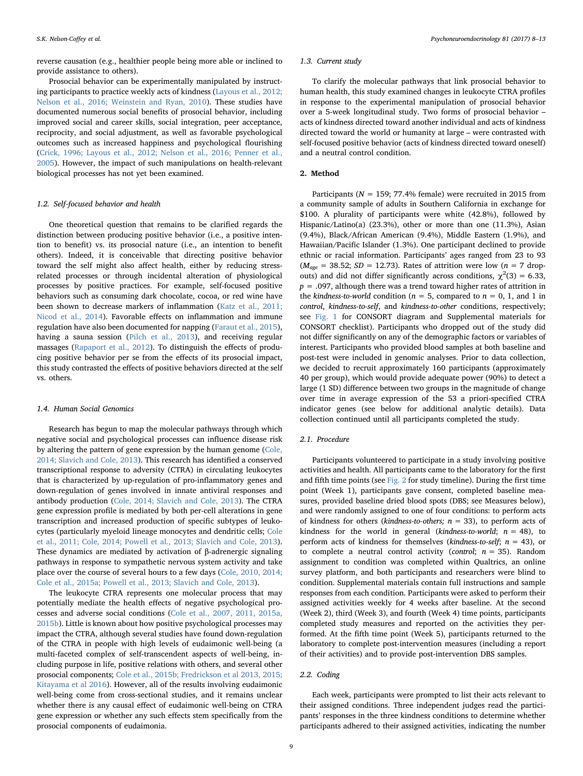reverse causation (e.g., healthier people being more able or inclined to provide assistance to others).

Prosocial behavior can be experimentally manipulated by instructing participants to practice weekly acts of kindness [\(Layous et al., 2012;](#page-6-5) [Nelson et al., 2016; Weinstein and Ryan, 2010](#page-6-5)). These studies have documented numerous social benefits of prosocial behavior, including improved social and career skills, social integration, peer acceptance, reciprocity, and social adjustment, as well as favorable psychological outcomes such as increased happiness and psychological flourishing ([Crick, 1996; Layous et al., 2012; Nelson et al., 2016; Penner et al.,](#page-6-6) [2005\)](#page-6-6). However, the impact of such manipulations on health-relevant biological processes has not yet been examined.

#### 1.2. Self-focused behavior and health

One theoretical question that remains to be clarified regards the distinction between producing positive behavior (i.e., a positive intention to benefit) vs. its prosocial nature (i.e., an intention to benefit others). Indeed, it is conceivable that directing positive behavior toward the self might also affect health, either by reducing stressrelated processes or through incidental alteration of physiological processes by positive practices. For example, self-focused positive behaviors such as consuming dark chocolate, cocoa, or red wine have been shown to decrease markers of inflammation ([Katz et al., 2011;](#page-6-7) [Nicod et al., 2014](#page-6-7)). Favorable effects on inflammation and immune regulation have also been documented for napping ([Faraut et al., 2015](#page-6-8)), having a sauna session [\(Pilch et al., 2013\)](#page-6-9), and receiving regular massages [\(Rapaport et al., 2012](#page-6-10)). To distinguish the effects of producing positive behavior per se from the effects of its prosocial impact, this study contrasted the effects of positive behaviors directed at the self vs. others.

#### 1.4. Human Social Genomics

Research has begun to map the molecular pathways through which negative social and psychological processes can influence disease risk by altering the pattern of gene expression by the human genome ([Cole,](#page-6-11) [2014; Slavich and Cole, 2013\)](#page-6-11). This research has identified a conserved transcriptional response to adversity (CTRA) in circulating leukocytes that is characterized by up-regulation of pro-inflammatory genes and down-regulation of genes involved in innate antiviral responses and antibody production [\(Cole, 2014; Slavich and Cole, 2013\)](#page-6-11). The CTRA gene expression profile is mediated by both per-cell alterations in gene transcription and increased production of specific subtypes of leukocytes (particularly myeloid lineage monocytes and dendritic cells; [Cole](#page-6-12) [et al., 2011; Cole, 2014; Powell et al., 2013; Slavich and Cole, 2013](#page-6-12)). These dynamics are mediated by activation of β-adrenergic signaling pathways in response to sympathetic nervous system activity and take place over the course of several hours to a few days ([Cole, 2010, 2014;](#page-6-13) [Cole et al., 2015a; Powell et al., 2013; Slavich and Cole, 2013\)](#page-6-13).

The leukocyte CTRA represents one molecular process that may potentially mediate the health effects of negative psychological processes and adverse social conditions ([Cole et al., 2007, 2011, 2015a,](#page-6-14) [2015b\)](#page-6-14). Little is known about how positive psychological processes may impact the CTRA, although several studies have found down-regulation of the CTRA in people with high levels of eudaimonic well-being (a multi-faceted complex of self-transcendent aspects of well-being, including purpose in life, positive relations with others, and several other prosocial components; [Cole et al., 2015b; Fredrickson et al 2013, 2015;](#page-6-15) [Kitayama et al 2016\)](#page-6-15). However, all of the results involving eudaimonic well-being come from cross-sectional studies, and it remains unclear whether there is any causal effect of eudaimonic well-being on CTRA gene expression or whether any such effects stem specifically from the prosocial components of eudaimonia.

#### 1.3. Current study

To clarify the molecular pathways that link prosocial behavior to human health, this study examined changes in leukocyte CTRA profiles in response to the experimental manipulation of prosocial behavior over a 5-week longitudinal study. Two forms of prosocial behavior – acts of kindness directed toward another individual and acts of kindness directed toward the world or humanity at large – were contrasted with self-focused positive behavior (acts of kindness directed toward oneself) and a neutral control condition.

### 2. Method

Participants ( $N = 159$ ; 77.4% female) were recruited in 2015 from a community sample of adults in Southern California in exchange for \$100. A plurality of participants were white (42.8%), followed by Hispanic/Latino(a) (23.3%), other or more than one (11.3%), Asian (9.4%), Black/African American (9.4%), Middle Eastern (1.9%), and Hawaiian/Pacific Islander (1.3%). One participant declined to provide ethnic or racial information. Participants' ages ranged from 23 to 93  $(M<sub>age</sub> = 38.52; SD = 12.73)$ . Rates of attrition were low (n = 7 dropouts) and did not differ significantly across conditions,  $\chi^2(3) = 6.33$ ,  $p = .097$ , although there was a trend toward higher rates of attrition in the kindness-to-world condition ( $n = 5$ , compared to  $n = 0, 1$ , and 1 in control, kindness-to-self, and kindness-to-other conditions, respectively; see [Fig. 1](#page-3-0) for CONSORT diagram and Supplemental materials for CONSORT checklist). Participants who dropped out of the study did not differ significantly on any of the demographic factors or variables of interest. Participants who provided blood samples at both baseline and post-test were included in genomic analyses. Prior to data collection, we decided to recruit approximately 160 participants (approximately 40 per group), which would provide adequate power (90%) to detect a large (1 SD) difference between two groups in the magnitude of change over time in average expression of the 53 a priori-specified CTRA indicator genes (see below for additional analytic details). Data collection continued until all participants completed the study.

### 2.1. Procedure

Participants volunteered to participate in a study involving positive activities and health. All participants came to the laboratory for the first and fifth time points (see [Fig. 2](#page-3-1) for study timeline). During the first time point (Week 1), participants gave consent, completed baseline measures, provided baseline dried blood spots (DBS; see Measures below), and were randomly assigned to one of four conditions: to perform acts of kindness for others (kindness-to-others;  $n = 33$ ), to perform acts of kindness for the world in general (kindness-to-world;  $n = 48$ ), to perform acts of kindness for themselves (kindness-to-self;  $n = 43$ ), or to complete a neutral control activity (control;  $n = 35$ ). Random assignment to condition was completed within Qualtrics, an online survey platform, and both participants and researchers were blind to condition. Supplemental materials contain full instructions and sample responses from each condition. Participants were asked to perform their assigned activities weekly for 4 weeks after baseline. At the second (Week 2), third (Week 3), and fourth (Week 4) time points, participants completed study measures and reported on the activities they performed. At the fifth time point (Week 5), participants returned to the laboratory to complete post-intervention measures (including a report of their activities) and to provide post-intervention DBS samples.

#### 2.2. Coding

Each week, participants were prompted to list their acts relevant to their assigned conditions. Three independent judges read the participants' responses in the three kindness conditions to determine whether participants adhered to their assigned activities, indicating the number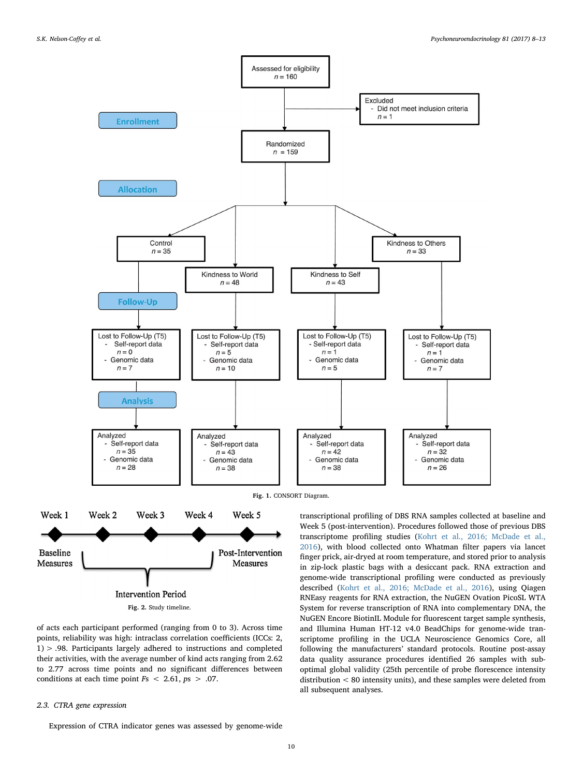<span id="page-3-0"></span>

Fig. 1. CONSORT Diagram.

<span id="page-3-1"></span>

of acts each participant performed (ranging from 0 to 3). Across time points, reliability was high: intraclass correlation coefficients (ICCs: 2, 1) > .98. Participants largely adhered to instructions and completed their activities, with the average number of kind acts ranging from 2.62 to 2.77 across time points and no significant differences between conditions at each time point  $Fs < 2.61, ps > .07$ .

## 2.3. CTRA gene expression

Expression of CTRA indicator genes was assessed by genome-wide

transcriptional profiling of DBS RNA samples collected at baseline and Week 5 (post-intervention). Procedures followed those of previous DBS transcriptome profiling studies ([Kohrt et al., 2016; McDade et al.,](#page-6-16) [2016\)](#page-6-16), with blood collected onto Whatman filter papers via lancet finger prick, air-dryed at room temperature, and stored prior to analysis in zip-lock plastic bags with a desiccant pack. RNA extraction and genome-wide transcriptional profiling were conducted as previously described ([Kohrt et al., 2016; McDade et al., 2016\)](#page-6-16), using Qiagen RNEasy reagents for RNA extraction, the NuGEN Ovation PicoSL WTA System for reverse transcription of RNA into complementary DNA, the NuGEN Encore BiotinIL Module for fluorescent target sample synthesis, and Illumina Human HT-12 v4.0 BeadChips for genome-wide transcriptome profiling in the UCLA Neuroscience Genomics Core, all following the manufacturers' standard protocols. Routine post-assay data quality assurance procedures identified 26 samples with suboptimal global validity (25th percentile of probe florescence intensity distribution < 80 intensity units), and these samples were deleted from all subsequent analyses.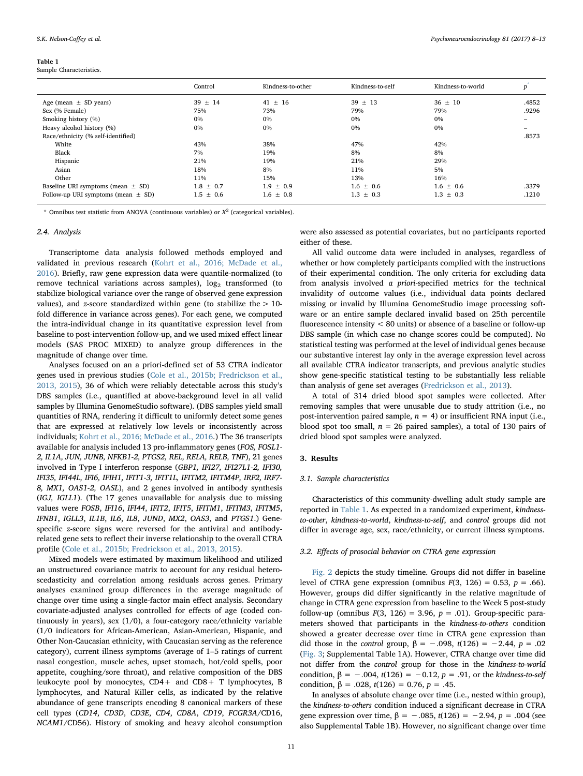#### <span id="page-4-0"></span>Table 1

Sample Characteristics.

|                                        | Control       | Kindness-to-other | Kindness-to-self | Kindness-to-world | p     |
|----------------------------------------|---------------|-------------------|------------------|-------------------|-------|
| Age (mean $\pm$ SD years)              | $39 \pm 14$   | $41 \pm 16$       | $39 \pm 13$      | $36 \pm 10$       | .4852 |
| Sex (% Female)                         | 75%           | 73%               | 79%              | 79%               | .9296 |
| Smoking history (%)                    | $0\%$         | $0\%$             | $0\%$            | 0%                |       |
| Heavy alcohol history (%)              | $0\%$         | 0%                | 0%               | 0%                | -     |
| Race/ethnicity (% self-identified)     |               |                   |                  |                   | .8573 |
| White                                  | 43%           | 38%               | 47%              | 42%               |       |
| Black                                  | 7%            | 19%               | 8%               | 8%                |       |
| Hispanic                               | 21%           | 19%               | 21%              | 29%               |       |
| Asian                                  | 18%           | 8%                | 11%              | 5%                |       |
| Other                                  | 11%           | 15%               | 13%              | 16%               |       |
| Baseline URI symptoms (mean $\pm$ SD)  | $1.8 \pm 0.7$ | $1.9 \pm 0.9$     | $1.6 \pm 0.6$    | $1.6 \pm 0.6$     | .3379 |
| Follow-up URI symptoms (mean $\pm$ SD) | $1.5 \pm 0.6$ | $1.6 \pm 0.8$     | $1.3 \pm 0.3$    | $1.3 \pm 0.3$     | .1210 |

<span id="page-4-1"></span>\* Omnibus test statistic from ANOVA (continuous variables) or  $X^2$  (categorical variables).

#### 2.4. Analysis

Transcriptome data analysis followed methods employed and validated in previous research ([Kohrt et al., 2016; McDade et al.,](#page-6-16) [2016\)](#page-6-16). Briefly, raw gene expression data were quantile-normalized (to remove technical variations across samples),  $log<sub>2</sub>$  transformed (to stabilize biological variance over the range of observed gene expression values), and  $z$ -score standardized within gene (to stabilize the  $> 10$ fold difference in variance across genes). For each gene, we computed the intra-individual change in its quantitative expression level from baseline to post-intervention follow-up, and we used mixed effect linear models (SAS PROC MIXED) to analyze group differences in the magnitude of change over time.

Analyses focused on an a priori-defined set of 53 CTRA indicator genes used in previous studies [\(Cole et al., 2015b; Fredrickson et al.,](#page-6-15) [2013, 2015\)](#page-6-15), 36 of which were reliably detectable across this study's DBS samples (i.e., quantified at above-background level in all valid samples by Illumina GenomeStudio software). (DBS samples yield small quantities of RNA, rendering it difficult to uniformly detect some genes that are expressed at relatively low levels or inconsistently across individuals; [Kohrt et al., 2016; McDade et al., 2016.](#page-6-16)) The 36 transcripts available for analysis included 13 pro-inflammatory genes (FOS, FOSL1- 2, IL1A, JUN, JUNB, NFKB1-2, PTGS2, REL, RELA, RELB, TNF), 21 genes involved in Type I interferon response (GBP1, IFI27, IFI27L1-2, IFI30, IFI35, IFI44L, IFI6, IFIH1, IFIT1-3, IFIT1L, IFITM2, IFITM4P, IRF2, IRF7- 8, MX1, OAS1-2, OASL), and 2 genes involved in antibody synthesis (IGJ, IGLL1). (The 17 genes unavailable for analysis due to missing values were FOSB, IFI16, IFI44, IFIT2, IFIT5, IFITM1, IFITM3, IFITM5, IFNB1, IGLL3, IL1B, IL6, IL8, JUND, MX2, OAS3, and PTGS1.) Genespecific z-score signs were reversed for the antiviral and antibodyrelated gene sets to reflect their inverse relationship to the overall CTRA profile [\(Cole et al., 2015b; Fredrickson et al., 2013, 2015](#page-6-15)).

Mixed models were estimated by maximum likelihood and utilized an unstructured covariance matrix to account for any residual heteroscedasticity and correlation among residuals across genes. Primary analyses examined group differences in the average magnitude of change over time using a single-factor main effect analysis. Secondary covariate-adjusted analyses controlled for effects of age (coded continuously in years), sex (1/0), a four-category race/ethnicity variable (1/0 indicators for African-American, Asian-American, Hispanic, and Other Non-Caucasian ethnicity, with Caucasian serving as the reference category), current illness symptoms (average of 1–5 ratings of current nasal congestion, muscle aches, upset stomach, hot/cold spells, poor appetite, coughing/sore throat), and relative composition of the DBS leukocyte pool by monocytes, CD4+ and CD8+ T lymphocytes, B lymphocytes, and Natural Killer cells, as indicated by the relative abundance of gene transcripts encoding 8 canonical markers of these cell types (CD14, CD3D, CD3E, CD4, CD8A, CD19, FCGR3A/CD16, NCAM1/CD56). History of smoking and heavy alcohol consumption

were also assessed as potential covariates, but no participants reported either of these.

All valid outcome data were included in analyses, regardless of whether or how completely participants complied with the instructions of their experimental condition. The only criteria for excluding data from analysis involved a priori-specified metrics for the technical invalidity of outcome values (i.e., individual data points declared missing or invalid by Illumina GenomeStudio image processing software or an entire sample declared invalid based on 25th percentile fluorescence intensity < 80 units) or absence of a baseline or follow-up DBS sample (in which case no change scores could be computed). No statistical testing was performed at the level of individual genes because our substantive interest lay only in the average expression level across all available CTRA indicator transcripts, and previous analytic studies show gene-specific statistical testing to be substantially less reliable than analysis of gene set averages [\(Fredrickson et al., 2013](#page-6-17)).

A total of 314 dried blood spot samples were collected. After removing samples that were unusable due to study attrition (i.e., no post-intervention paired sample,  $n = 4$ ) or insufficient RNA input (i.e., blood spot too small,  $n = 26$  paired samples), a total of 130 pairs of dried blood spot samples were analyzed.

#### 3. Results

#### 3.1. Sample characteristics

Characteristics of this community-dwelling adult study sample are reported in [Table 1](#page-4-0). As expected in a randomized experiment, kindnessto-other, kindness-to-world, kindness-to-self, and control groups did not differ in average age, sex, race/ethnicity, or current illness symptoms.

#### 3.2. Effects of prosocial behavior on CTRA gene expression

[Fig. 2](#page-3-1) depicts the study timeline. Groups did not differ in baseline level of CTRA gene expression (omnibus  $F(3, 126) = 0.53$ ,  $p = .66$ ). However, groups did differ significantly in the relative magnitude of change in CTRA gene expression from baseline to the Week 5 post-study follow-up (omnibus  $F(3, 126) = 3.96$ ,  $p = .01$ ). Group-specific parameters showed that participants in the kindness-to-others condition showed a greater decrease over time in CTRA gene expression than did those in the *control* group,  $β = -.098, t(126) = -2.44, p = .02$ ([Fig. 3;](#page-5-0) Supplemental Table 1A). However, CTRA change over time did not differ from the control group for those in the kindness-to-world condition,  $β = -.004, t(126) = -0.12, p = .91$ , or the kindness-to-self condition,  $β = .028$ ,  $t(126) = 0.76$ ,  $p = .45$ .

In analyses of absolute change over time (i.e., nested within group), the kindness-to-others condition induced a significant decrease in CTRA gene expression over time, β = -.085, t(126) = -2.94, p = .004 (see also Supplemental Table 1B). However, no significant change over time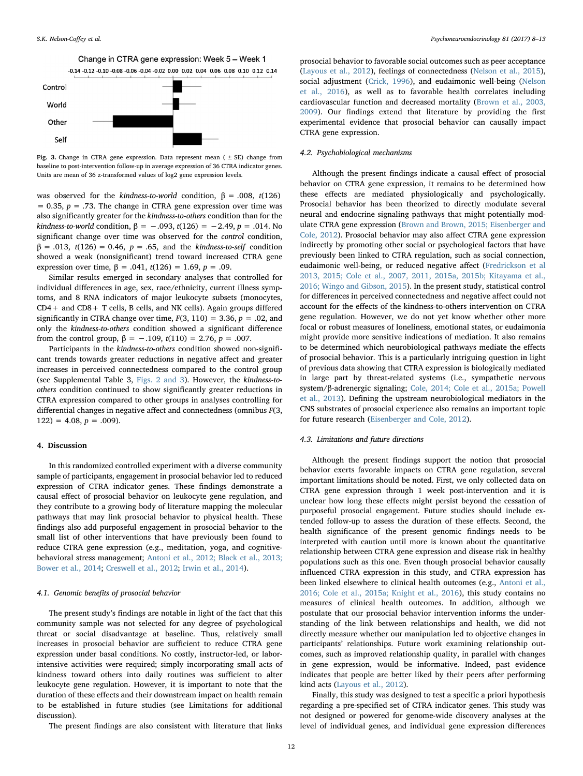Change in CTRA gene expression: Week 5 - Week 1  $-0.14 - 0.12 - 0.10 - 0.08 - 0.06 - 0.04 - 0.02 - 0.00 - 0.02 - 0.04 - 0.06 - 0.08 - 0.10 - 0.12 - 0.14$ 

<span id="page-5-0"></span>

Fig. 3. Change in CTRA gene expression. Data represent mean ( $\pm$  SE) change from baseline to post-intervention follow-up in average expression of 36 CTRA indicator genes. Units are mean of 36 z-transformed values of log2 gene expression levels.

was observed for the kindness-to-world condition,  $\beta = .008$ , t(126)  $= 0.35$ ,  $p = .73$ . The change in CTRA gene expression over time was also significantly greater for the kindness-to-others condition than for the kindness-to-world condition, β = -.093, t(126) = -2.49, p = .014. No significant change over time was observed for the control condition,  $β = .013, t(126) = 0.46, p = .65, and the *kindness-to-self* condition$ showed a weak (nonsignificant) trend toward increased CTRA gene expression over time,  $β = .041$ ,  $t(126) = 1.69$ ,  $p = .09$ .

Similar results emerged in secondary analyses that controlled for individual differences in age, sex, race/ethnicity, current illness symptoms, and 8 RNA indicators of major leukocyte subsets (monocytes,  $CD4+$  and  $CD8+$  T cells, B cells, and NK cells). Again groups differed significantly in CTRA change over time,  $F(3, 110) = 3.36$ ,  $p = .02$ , and only the kindness-to-others condition showed a significant difference from the control group,  $\beta = -.109$ ,  $t(110) = 2.76$ ,  $p = .007$ .

Participants in the kindness-to-others condition showed non-significant trends towards greater reductions in negative affect and greater increases in perceived connectedness compared to the control group (see Supplemental Table 3, [Figs. 2 and 3](#page-3-1)). However, the kindness-toothers condition continued to show significantly greater reductions in CTRA expression compared to other groups in analyses controlling for differential changes in negative affect and connectedness (omnibus  $F(3, 1)$  $122$ ) = 4.08,  $p = .009$ ).

#### 4. Discussion

In this randomized controlled experiment with a diverse community sample of participants, engagement in prosocial behavior led to reduced expression of CTRA indicator genes. These findings demonstrate a causal effect of prosocial behavior on leukocyte gene regulation, and they contribute to a growing body of literature mapping the molecular pathways that may link prosocial behavior to physical health. These findings also add purposeful engagement in prosocial behavior to the small list of other interventions that have previously been found to reduce CTRA gene expression (e.g., meditation, yoga, and cognitivebehavioral stress management; [Antoni et al., 2012; Black et al., 2013;](#page-6-18) [Bower et al., 2014](#page-6-18); [Creswell et al., 2012;](#page-6-19) [Irwin et al., 2014](#page-6-20)).

## 4.1. Genomic benefits of prosocial behavior

The present study's findings are notable in light of the fact that this community sample was not selected for any degree of psychological threat or social disadvantage at baseline. Thus, relatively small increases in prosocial behavior are sufficient to reduce CTRA gene expression under basal conditions. No costly, instructor-led, or laborintensive activities were required; simply incorporating small acts of kindness toward others into daily routines was sufficient to alter leukocyte gene regulation. However, it is important to note that the duration of these effects and their downstream impact on health remain to be established in future studies (see Limitations for additional discussion).

The present findings are also consistent with literature that links

prosocial behavior to favorable social outcomes such as peer acceptance ([Layous et al., 2012\)](#page-6-5), feelings of connectedness ([Nelson et al., 2015](#page-6-21)), social adjustment [\(Crick, 1996](#page-6-6)), and eudaimonic well-being ([Nelson](#page-6-22) [et al., 2016](#page-6-22)), as well as to favorable health correlates including cardiovascular function and decreased mortality [\(Brown et al., 2003,](#page-6-0) [2009\)](#page-6-0). Our findings extend that literature by providing the first experimental evidence that prosocial behavior can causally impact CTRA gene expression.

## 4.2. Psychobiological mechanisms

Although the present findings indicate a causal effect of prosocial behavior on CTRA gene expression, it remains to be determined how these effects are mediated physiologically and psychologically. Prosocial behavior has been theorized to directly modulate several neural and endocrine signaling pathways that might potentially modulate CTRA gene expression [\(Brown and Brown, 2015; Eisenberger and](#page-6-3) [Cole, 2012](#page-6-3)). Prosocial behavior may also affect CTRA gene expression indirectly by promoting other social or psychological factors that have previously been linked to CTRA regulation, such as social connection, eudaimonic well-being, or reduced negative affect [\(Fredrickson](#page-6-17) et al [2013, 2015; Cole et al., 2007, 2011, 2015a, 2015b; Kitayama et al.,](#page-6-17) [2016; Wingo and Gibson, 2015\)](#page-6-17). In the present study, statistical control for differences in perceived connectedness and negative affect could not account for the effects of the kindness-to-others intervention on CTRA gene regulation. However, we do not yet know whether other more focal or robust measures of loneliness, emotional states, or eudaimonia might provide more sensitive indications of mediation. It also remains to be determined which neurobiological pathways mediate the effects of prosocial behavior. This is a particularly intriguing question in light of previous data showing that CTRA expression is biologically mediated in large part by threat-related systems (i.e., sympathetic nervous system/β-adrenergic signaling; [Cole, 2014; Cole et al., 2015a; Powell](#page-6-11) [et al., 2013](#page-6-11)). Defining the upstream neurobiological mediators in the CNS substrates of prosocial experience also remains an important topic for future research ([Eisenberger and Cole, 2012\)](#page-6-4).

### 4.3. Limitations and future directions

Although the present findings support the notion that prosocial behavior exerts favorable impacts on CTRA gene regulation, several important limitations should be noted. First, we only collected data on CTRA gene expression through 1 week post-intervention and it is unclear how long these effects might persist beyond the cessation of purposeful prosocial engagement. Future studies should include extended follow-up to assess the duration of these effects. Second, the health significance of the present genomic findings needs to be interpreted with caution until more is known about the quantitative relationship between CTRA gene expression and disease risk in healthy populations such as this one. Even though prosocial behavior causally influenced CTRA expression in this study, and CTRA expression has been linked elsewhere to clinical health outcomes (e.g., [Antoni et al.,](#page-6-23) [2016; Cole et al., 2015a; Knight et al., 2016](#page-6-23)), this study contains no measures of clinical health outcomes. In addition, although we postulate that our prosocial behavior intervention informs the understanding of the link between relationships and health, we did not directly measure whether our manipulation led to objective changes in participants' relationships. Future work examining relationship outcomes, such as improved relationship quality, in parallel with changes in gene expression, would be informative. Indeed, past evidence indicates that people are better liked by their peers after performing kind acts [\(Layous et al., 2012](#page-6-5)).

Finally, this study was designed to test a specific a priori hypothesis regarding a pre-specified set of CTRA indicator genes. This study was not designed or powered for genome-wide discovery analyses at the level of individual genes, and individual gene expression differences